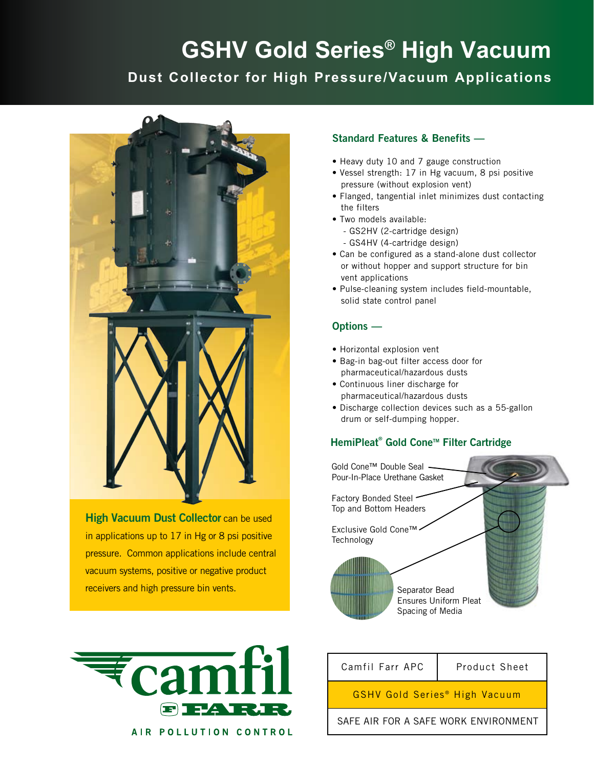## **GSHV Gold Series® High Vacuum Dust Collector for High Pressure/Vacuum Applications**



**High Vacuum Dust Collector can be used** in applications up to 17 in Hg or 8 psi positive pressure. Common applications include central vacuum systems, positive or negative product receivers and high pressure bin vents.



## Standard Features & Benefits —

- Heavy duty 10 and 7 gauge construction
- Vessel strength: 17 in Hg vacuum, 8 psi positive pressure (without explosion vent)
- Flanged, tangential inlet minimizes dust contacting the filters
- Two models available:
	- GS2HV (2-cartridge design) - GS4HV (4-cartridge design)
- Can be configured as a stand-alone dust collector or without hopper and support structure for bin vent applications
- Pulse-cleaning system includes field-mountable, solid state control panel

## Options —

- Horizontal explosion vent
- Bag-in bag-out filter access door for pharmaceutical/hazardous dusts
- Continuous liner discharge for pharmaceutical/hazardous dusts
- Discharge collection devices such as a 55-gallon drum or self-dumping hopper.

## HemiPleat® Gold Cone™ Filter Cartridge





AIR POLLUTION CONTROL